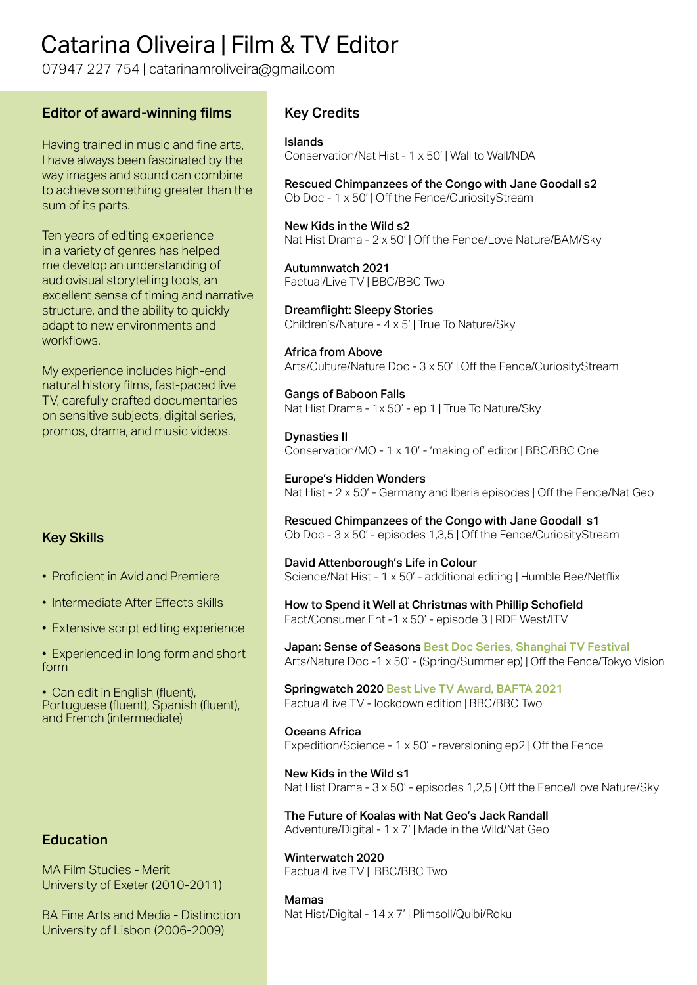# Catarina Oliveira | Film & TV Editor

07947 227 754 | catarinamroliveira@gmail.com

#### Editor of award-winning films

Having trained in music and fine arts, I have always been fascinated by the way images and sound can combine to achieve something greater than the sum of its parts.

Ten years of editing experience in a variety of genres has helped me develop an understanding of audiovisual storytelling tools, an excellent sense of timing and narrative structure, and the ability to quickly adapt to new environments and workflows.

My experience includes high-end natural history films, fast-paced live TV, carefully crafted documentaries on sensitive subjects, digital series, promos, drama, and music videos.

## Key Skills

• Proficient in Avid and Premiere

- Intermediate After Effects skills
- Extensive script editing experience

• Experienced in long form and short form

• Can edit in English (fluent). Portuguese (fluent), Spanish (fluent), and French (intermediate)

## Education

MA Film Studies - Merit University of Exeter (2010-2011)

BA Fine Arts and Media - Distinction University of Lisbon (2006-2009)

## Key Credits

Islands Conservation/Nat Hist - 1 x 50' | Wall to Wall/NDA

Rescued Chimpanzees of the Congo with Jane Goodall s2 Ob Doc - 1 x 50' | Off the Fence/CuriosityStream

New Kids in the Wild s2 Nat Hist Drama - 2 x 50' | Off the Fence/Love Nature/BAM/Sky

Autumnwatch 2021 Factual/Live TV | BBC/BBC Two

Dreamflight: Sleepy Stories Children's/Nature - 4 x 5' | True To Nature/Sky

Africa from Above Arts/Culture/Nature Doc - 3 x 50' | Off the Fence/CuriosityStream

Gangs of Baboon Falls Nat Hist Drama - 1x 50' - ep 1 | True To Nature/Sky

Dynasties II Conservation/MO - 1 x 10' - 'making of' editor | BBC/BBC One

Europe's Hidden Wonders Nat Hist - 2 x 50' - Germany and Iberia episodes | Off the Fence/Nat Geo

Rescued Chimpanzees of the Congo with Jane Goodall s1 Ob Doc - 3 x 50' - episodes 1,3,5 | Off the Fence/CuriosityStream

David Attenborough's Life in Colour Science/Nat Hist - 1 x 50' - additional editing | Humble Bee/Netflix

How to Spend it Well at Christmas with Phillip Schofield Fact/Consumer Ent -1 x 50' - episode 3 | RDF West/ITV

Japan: Sense of Seasons Best Doc Series, Shanghai TV Festival Arts/Nature Doc -1 x 50' - (Spring/Summer ep) | Off the Fence/Tokyo Vision

Springwatch 2020 Best Live TV Award, BAFTA 2021 Factual/Live TV - lockdown edition | BBC/BBC Two

Oceans Africa Expedition/Science - 1 x 50' - reversioning ep2 | Off the Fence

New Kids in the Wild s1 Nat Hist Drama - 3 x 50' - episodes 1,2,5 | Off the Fence/Love Nature/Sky

The Future of Koalas with Nat Geo's Jack Randall Adventure/Digital - 1 x 7' | Made in the Wild/Nat Geo

Winterwatch 2020 Factual/Live TV | BBC/BBC Two

# Mamas

Nat Hist/Digital - 14 x 7' | Plimsoll/Quibi/Roku